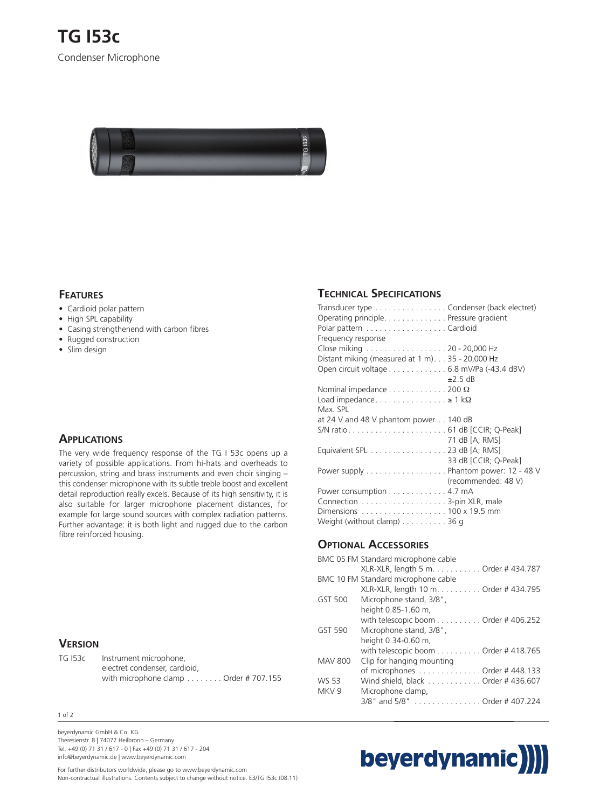

### **FEATURES**

- Cardioid polar pattern
- High SPL capability
- Casing strengthenend with carbon fibres
- Rugged construction
- Slim design

## **APPLICATIONS**

The very wide frequency response of the TG I 53c opens up a variety of possible applications. From hi-hats and overheads to percussion, string and brass instruments and even choir singing – this condenser microphone with its subtle treble boost and excellent detail reproduction really excels. Because of its high sensitivity, it is also suitable for larger microphone placement distances, for example for large sound sources with complex radiation patterns. Further advantage: it is both light and rugged due to the carbon fibre reinforced housing.

### **VERSION**

| TG 153c | Instrument microphone,               |
|---------|--------------------------------------|
|         | electret condenser, cardioid,        |
|         | with microphone clamp Order #707.155 |

#### 1 of 2

beyerdynamic GmbH & Co. KG Theresienstr. 8 | 74072 Heilbronn – Germany Tel. +49 (0) 71 31 / 617 - 0 | Fax +49 (0) 71 31 / 617 - 204 info@beyerdynamic.de | www.beyerdynamic.com

## **TECHNICAL SPECIFICATIONS**

| Transducer type Condenser (back electret)                                       |                      |
|---------------------------------------------------------------------------------|----------------------|
| Operating principle. Pressure gradient                                          |                      |
| Polar pattern Cardioid<br>Frequency response                                    |                      |
|                                                                                 |                      |
| Close miking 20 - 20,000 Hz<br>Distant miking (measured at 1 m). 35 - 20,000 Hz |                      |
|                                                                                 |                      |
| Open circuit voltage 6.8 mV/Pa (-43.4 dBV)                                      | $+25$ dB             |
|                                                                                 |                      |
| Nominal impedance $\dots\dots\dots\dots$ 200 $\Omega$                           |                      |
| Load impedance $\geq 1$ k $\Omega$                                              |                      |
| Max. SPL                                                                        |                      |
| at 24 V and 48 V phantom power $\ldots$ 140 dB                                  |                      |
|                                                                                 |                      |
|                                                                                 | 71 dB [A: RMS]       |
| Equivalent SPL 23 dB [A; RMS]                                                   |                      |
|                                                                                 | 33 dB [CCIR; Q-Peak] |
| Power supply Phantom power: 12 - 48 V                                           |                      |
|                                                                                 | (recommended: 48 V)  |
| Power consumption 4.7 mA                                                        |                      |
|                                                                                 |                      |
| Dimensions 100 x 19.5 mm                                                        |                      |
| Weight (without clamp) $\dots \dots \dots 36$ g                                 |                      |
|                                                                                 |                      |

# **OPTIONAL ACCESSORIES**

|                  | BMC 05 FM Standard microphone cable                         |
|------------------|-------------------------------------------------------------|
|                  | XLR-XLR, length 5 m. Order # 434.787                        |
|                  | BMC 10 FM Standard microphone cable                         |
|                  | XLR-XLR, length 10 m. Order # 434.795                       |
| GST 500          | Microphone stand, 3/8",                                     |
|                  | height 0.85-1.60 m,                                         |
|                  | with telescopic boom $\dots\dots\dots\dots$ Order #406.252  |
| <b>GST 590</b>   | Microphone stand, 3/8",                                     |
|                  | height 0.34-0.60 m,                                         |
|                  | with telescopic boom $\dots\dots\dots\dots$ Order # 418.765 |
| <b>MAV 800</b>   | Clip for hanging mounting                                   |
|                  | of microphones $\ldots \ldots \ldots \ldots$ Order #448.133 |
| <b>WS 53</b>     | Wind shield, black  Order #436.607                          |
| MKV <sub>9</sub> | Microphone clamp,                                           |
|                  | 3/8" and 5/8" Order # 407.224                               |
|                  |                                                             |



For further distributors worldwide, please go to www.beyerdynamic.com Non-contractual illustrations. Contents subject to change without notice. E3/TG I53c (08.11)